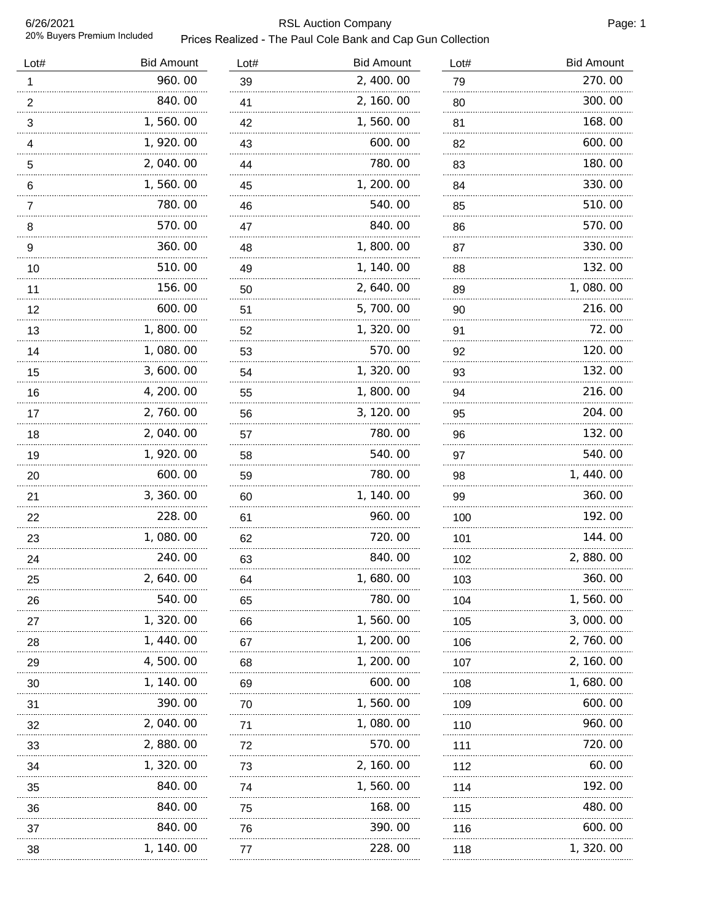## RSL Auction Company **Page: 1** Page: 1 Prices Realized - The Paul Cole Bank and Cap Gun Collection

| Lot#                      | <b>Bid Amount</b> | Lot#    | <b>Bid Amount</b> | Lot#     | <b>Bid Amount</b> |
|---------------------------|-------------------|---------|-------------------|----------|-------------------|
| $\mathbf{1}$              | 960.00            | 39      | 2, 400.00         | 79       | 270.00            |
| $\frac{2}{\cdot}$         | 840.00            | 41      | 2, 160.00         | 80       | 300.00            |
| $\ensuremath{\mathsf{3}}$ | 1,560.00          | 42      | 1,560.00          | 81       | 168.00            |
| 4                         | 1, 920.00         | 43      | 600.00            | 82       | 600.00            |
| 5                         | 2,040.00          | 44      | 780.00            | 83       | 180.00            |
| 6                         | 1,560.00          | 45      | 1, 200.00         | 84       | 330.00            |
| $\overline{7}$            | 780.00            | 46      | 540.00            | 85       | 510.00            |
| 8                         | 570.00            | 47      | 840.00            | 86       | 570.00            |
| $\frac{9}{2}$             | 360.00            | 48      | 1,800.00          | 87       | 330.00            |
| 10                        | 510.00            | 49      | 1, 140.00         | 88       | 132.00            |
| 11                        | 156.00            | 50      | 2, 640.00         | 89       | 1,080.00          |
| 12                        | 600.00            | 51      | 5,700.00          | 90       | 216.00            |
| 13                        | 1,800.00          | 52      | 1,320.00          | 91       | 72.00             |
| 14                        | 1,080.00          | 53      | 570.00            | 92       | 120.00            |
| 15                        | 3,600.00          | 54      | 1,320.00          | 93       | 132.00            |
| 16                        | 4, 200. 00        | 55      | 1,800.00          | 94       | 216.00            |
| 17<br>.                   | 2,760.00          | 56      | 3, 120.00         | 95       | 204.00            |
| 18                        | 2,040.00          | 57      | 780.00            | 96       | 132.00            |
| 19                        | 1,920.00          | 58      | 540.00            | 97       | 540.00            |
| 20                        | 600.00            | 59      | 780.00            | 98       | 1, 440.00         |
| 21                        | 3, 360.00         | 60      | 1, 140.00         | 99       | 360.00            |
| 22                        | 228.00            | 61      | 960.00            | 100      | 192.00            |
| 23                        | 1,080.00          | 62<br>. | 720.00            | 101<br>. | 144.00            |
| 24                        | 240.00            | 63      | 840.00            | 102      | 2,880.00          |
| 25                        | 2, 640. 00        | 64      | 1, 680. 00        | 103      | 360.00            |
| 26                        | 540.00            | 65      | 780.00            | 104      | 1, 560. 00        |
| 27                        | 1, 320. 00        | 66      | 1, 560. 00        | 105      | 3,000.00          |
| 28                        | 1, 440. 00        | 67      | 1, 200, 00        | 106      | 2, 760.00         |
| 29                        | 4, 500. 00        | 68      | 1, 200. 00        | 107      | 2, 160. 00        |
| 30                        | 1, 140. 00        | 69      | 600.00            | 108      | 1, 680. 00        |
| 31                        | 390.00            | 70      | 1, 560. 00        | 109      | 600.00            |
| 32                        | 2,040.00          | 71      | 1,080.00          | 110      | 960.00            |
| 33                        | 2,880.00          | 72      | 570.00            | 111      | 720.00            |
| 34                        | 1, 320. 00        | 73      | 2, 160, 00        | 112      | 60.00             |
| 35                        | 840.00            | 74      | 1, 560. 00        | 114      | 192.00            |
| 36                        | 840.00            | 75      | 168. 00           | 115      | 480.00            |
| 37                        | 840.00            | 76      | 390.00            | 116      | 600.00            |
| 38                        | .<br>1, 140. 00   | 77      | 228.00            | 118      | 1, 320. 00        |
|                           |                   |         |                   |          |                   |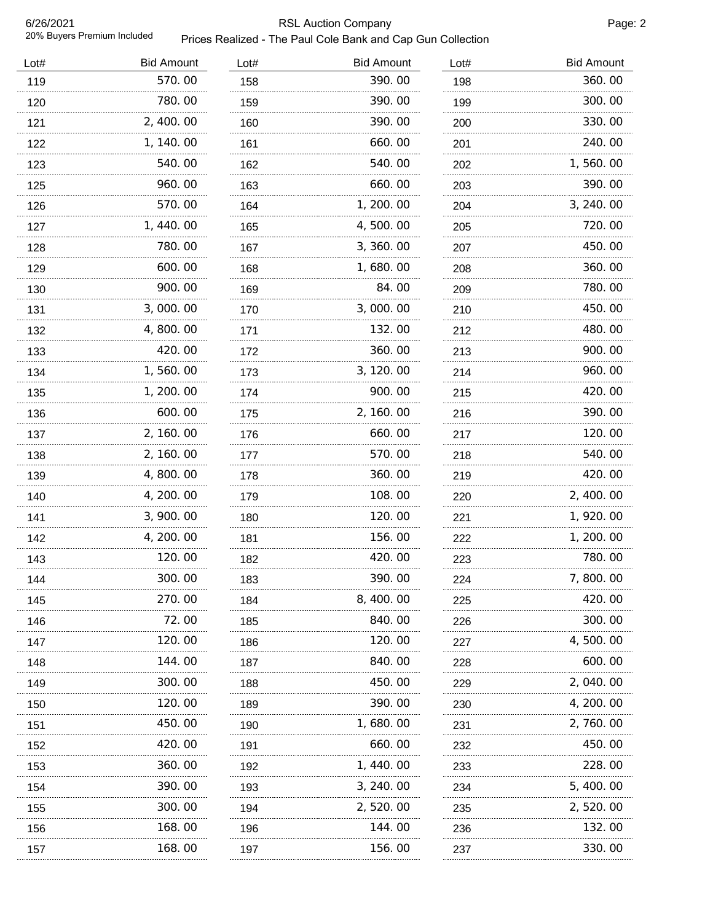## RSL Auction Company **Page: 2** Page: 2 Prices Realized - The Paul Cole Bank and Cap Gun Collection

| Lot# | <b>Bid Amount</b> | Lot#     | <b>Bid Amount</b> | Lot#     | <b>Bid Amount</b> |
|------|-------------------|----------|-------------------|----------|-------------------|
| 119  | 570.00            | 158      | 390.00            | 198      | 360.00            |
| 120  | 780.00            | 159      | 390.00            | 199      | 300.00            |
| 121  | 2, 400.00         | 160<br>. | 390.00            | 200<br>. | 330.00            |
| 122  | 1, 140.00         | 161      | 660.00            | 201      | 240.00            |
| 123  | 540.00            | 162<br>. | 540.00            | 202      | 1,560.00          |
| 125  | 960.00            | 163      | 660.00            | 203      | 390.00            |
| 126  | 570.00            | 164      | 1, 200. 00        | 204      | 3, 240.00         |
| 127  | 1,440.00          | 165      | 4,500.00          | 205      | 720.00            |
| 128  | 780.00            | 167      | 3, 360.00         | 207      | 450.00            |
| 129  | 600.00            | 168      | 1,680.00          | 208      | 360.00            |
| 130  | 900.00            | 169      | 84.00             | 209      | 780.00            |
| 131  | 3,000.00          | 170      | 3,000.00          | 210      | 450.00            |
| 132  | 4,800.00          | 171      | 132.00            | 212      | 480.00            |
| 133  | 420.00            | 172      | 360.00            | 213      | 900.00            |
| 134  | 1,560.00          | 173      | 3, 120.00         | 214      | 960.00            |
| 135  | 1, 200. 00        | 174      | 900.00            | 215      | 420.00            |
| 136  | 600.00            | 175      | 2, 160.00         | 216      | 390.00            |
| 137  | 2, 160.00         | 176      | 660.00            | 217      | 120.00            |
| 138  | 2, 160.00         | 177      | 570.00            | 218      | 540.00            |
| 139  | 4,800.00          | 178      | 360.00            | 219      | 420.00            |
| 140  | 4, 200. 00        | 179      | 108.00            | 220      | 2, 400.00         |
| 141  | 3, 900. 00        | 180      | 120.00            | 221      | 1, 920.00         |
| 142  | 4, 200. 00        | 181      | 156.00            | 222      | 1, 200. 00        |
| 143  | 120.00            | 182      | 420.00            | 223      | 780.00            |
| 144  | 300.00            | 183      | 390.00            | 224      | 7,800.00          |
| 145  | 270.00            | 184      | 8, 400. 00        | 225      | 420.00            |
| 146  | 72.00             | 185      | 840.00            | 226      | 300.00            |
| 147  | 120.00            | 186      | 120.00            | 227      | 4,500.00          |
| 148  | 144.00            | 187      | 840.00            | 228      | 600.00            |
| 149  | 300.00            | 188      | 450.00            | 229      | 2, 040. 00        |
| 150  | 120.00            | 189      | 390.00            | 230      | 4, 200. 00        |
| 151  | 450.00            | 190      | 1,680.00          | 231      | 2,760.00          |
| 152  | 420.00            | 191      | 660.00            | 232      | 450.00            |
| 153  | 360.00            | 192      | 1, 440. 00        | 233      | 228.00            |
| 154  | 390.00            | 193      | 3, 240.00         | 234      | 5, 400. 00        |
| 155  | 300.00            | 194      | 2,520.00          | 235      | 2, 520.00         |
| 156  | 168.00            | 196      | 144.00            | 236      | 132.00            |
| 157  | 168.00            | 197      | 156.00            | 237      | 330.00            |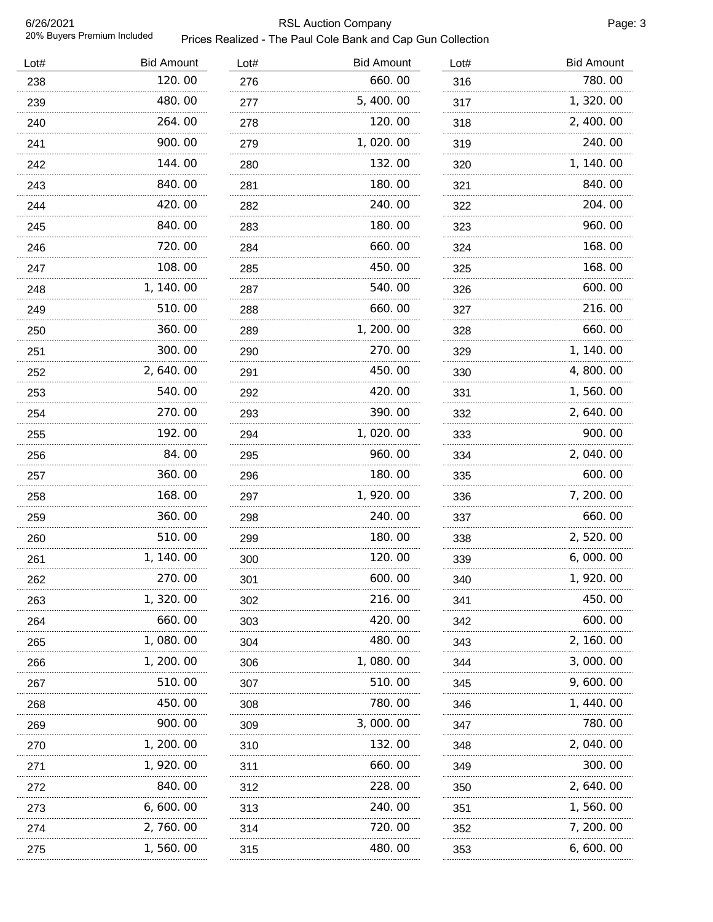# RSL Auction Company **Page: 3** Prices Realized - The Paul Cole Bank and Cap Gun Collection

| Lot# | <b>Bid Amount</b> | Lot# | <b>Bid Amount</b> | Lot# | <b>Bid Amount</b> |
|------|-------------------|------|-------------------|------|-------------------|
| 238  | 120.00            | 276  | 660.00            | 316  | 780.00            |
| 239  | 480.00            | 277  | 5, 400.00         | 317  | 1, 320.00         |
| 240  | 264.00            | 278  | 120.00            | 318  | 2, 400.00         |
| 241  | 900.00            | 279  | 1,020.00          | 319  | 240.00            |
| 242  | 144.00            | 280  | 132.00            | 320  | 1, 140.00         |
| 243  | 840.00            | 281  | 180.00            | 321  | 840.00            |
| 244  | 420.00            | 282  | 240.00            | 322  | 204.00            |
| 245  | 840.00            | 283  | 180.00            | 323  | 960.00            |
| 246  | 720.00            | 284  | 660.00            | 324  | 168.00            |
| 247  | 108.00            | 285  | 450.00            | 325  | 168.00            |
| 248  | 1, 140.00         | 287  | 540.00            | 326  | 600.00            |
| 249  | 510.00            | 288  | 660.00            | 327  | 216.00            |
| 250  | 360.00            | 289  | 1, 200.00         | 328  | 660.00            |
| 251  | 300.00            | 290  | 270.00            | 329  | 1, 140. 00        |
| 252  | 2, 640.00         | 291  | 450.00            | 330  | 4, 800. 00        |
| 253  | 540.00            | 292  | 420.00            | 331  | 1,560.00          |
| 254  | 270.00            | 293  | 390.00            | 332  | 2, 640.00         |
| 255  | 192.00            | 294  | 1,020.00          | 333  | 900.00            |
| 256  | 84.00             | 295  | 960.00            | 334  | 2, 040.00         |
| 257  | 360.00            | 296  | 180.00            | 335  | 600.00            |
| 258  | 168.00            | 297  | 1, 920.00         | 336  | 7, 200. 00        |
| 259  | 360.00            | 298  | 240.00            | 337  | 660.00            |
| 260  | 510.00            | 299  | 180.00            | 338  | 2,520.00          |
| 261  | 1, 140. 00        | 300  | 120.00            | 339  | 6,000.00          |
| 262  | 270.00            | 301  | 600. OO           | 340  | 1, 920. 00        |
| 263  | 1, 320. 00        | 302  | 216.00            | 341  | 450.00            |
| 264  | 660.00            | 303  | 420.00            | 342  | 600.00            |
| 265  | 1, 080. 00        | 304  | 480.00            | 343  | 2, 160. 00        |
| 266  | 1, 200. 00        | 306  | 1,080.00          | 344  | 3,000.00          |
| 267  | 510.00            | 307  | 510.00            | 345  | 9,600.00          |
| 268  | 450.00            | 308  | 780.00            | 346  | 1, 440.00         |
| 269  | 900.00            | 309  | 3,000.00          | 347  | 780.00            |
| 270  | 1, 200. 00        | 310  | 132.00            | 348  | 2,040.00          |
| 271  | 1, 920.00         | 311  | 660.00            | 349  | 300.00            |
| 272  | 840.00            | 312  | 228.00            | 350  | 2, 640.00         |
| 273  | 6, 600. 00        | 313  | 240.00            | 351  | 1,560.00          |
| 274  | 2,760.00          | 314  | 720.00            | 352  | 7, 200. 00        |
| 275  | 1,560.00          | 315  | 480.00            | 353  | 6,600.00          |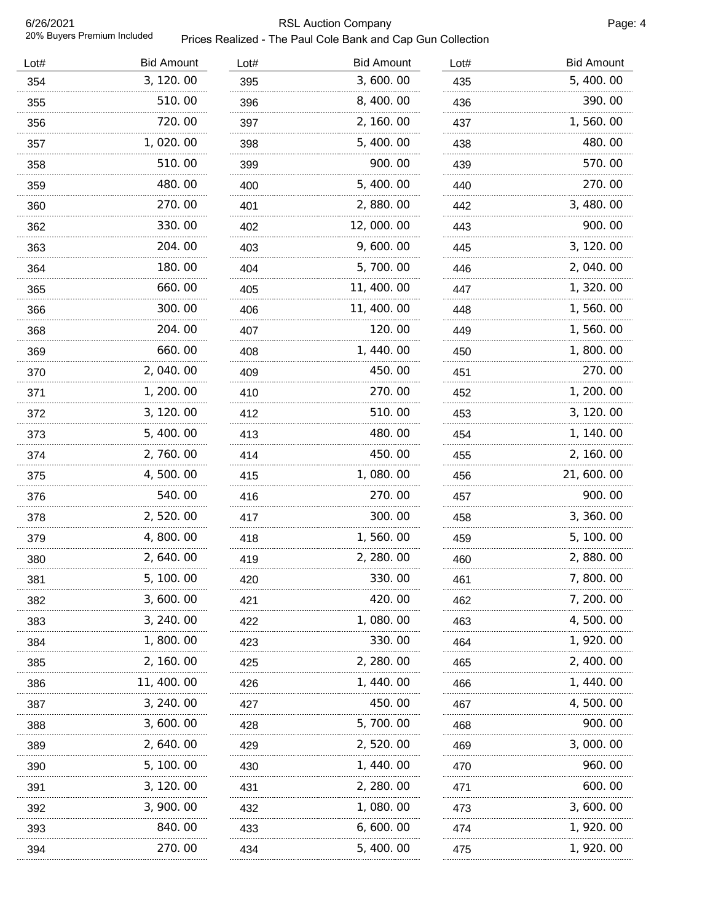6/26/2021 20% Buyers Premium Included

# RSL Auction Company **Page: 4** Page: 4 Prices Realized - The Paul Cole Bank and Cap Gun Collection

| Lot# | <b>Bid Amount</b> | Lot# | <b>Bid Amount</b> | Lot# | <b>Bid Amount</b> |
|------|-------------------|------|-------------------|------|-------------------|
| 354  | 3, 120.00         | 395  | 3,600.00          | 435  | 5, 400.00         |
| 355  | 510.00            | 396  | 8, 400.00         | 436  | 390.00            |
| 356  | 720.00            | 397  | 2, 160.00         | 437  | 1,560.00          |
| 357  | 1,020.00          | 398  | 5, 400.00         | 438  | 480.00            |
| 358  | 510.00            | 399  | 900.00            | 439  | 570.00            |
| 359  | 480.00            | 400  | 5, 400.00         | 440  | 270.00            |
| 360  | 270.00            | 401  | 2,880.00          | 442  | 3, 480.00         |
| 362  | 330.00            | 402  | 12,000.00         | 443  | 900.00            |
| 363  | 204.00            | 403  | 9,600.00          | 445  | 3, 120.00         |
| 364  | 180.00            | 404  | 5,700.00          | 446  | 2, 040.00         |
| 365  | 660.00            | 405  | 11, 400. 00       | 447  | 1, 320.00         |
| 366  | 300.00            | 406  | 11, 400. 00       | 448  | 1,560.00          |
| 368  | 204.00            | 407  | 120.00            | 449  | 1,560.00          |
| 369  | 660.00            | 408  | 1, 440.00         | 450  | 1, 800. 00        |
| 370  | 2,040.00          | 409  | 450.00            | 451  | 270.00            |
| 371  | 1, 200. 00        | 410  | 270.00            | 452  | 1, 200. 00        |
| 372  | 3, 120.00         | 412  | 510.00            | 453  | 3, 120.00         |
| 373  | 5, 400.00         | 413  | 480.00            | 454  | 1, 140. 00        |
| 374  | 2,760.00          | 414  | 450.00            | 455  | 2, 160.00         |
| 375  | 4,500.00          | 415  | 1,080.00          | 456  | 21, 600. 00       |
| 376  | 540.00            | 416  | 270.00            | 457  | 900.00            |
| 378  | 2,520.00          | 417  | 300.00            | 458  | 3, 360.00         |
| 379  | 4,800.00          | 418  | 1,560.00          | 459  | 5, 100. 00        |
| 380  | 2, 640. 00        | 419  | 2, 280.00         | 460  | 2,880.00          |
| 381  | 5, 100. 00        | 420  | 330. OO           | 461  | 7, 800. 00        |
| 382  | 3,600.00          | 421  | 420.00            | 462  | 7, 200. 00        |
| 383  | 3, 240.00         | 422  | 1,080.00          | 463  | 4, 500. 00        |
| 384  | 1, 800. 00        | 423  | 330.00            | 464  | 1, 920.00         |
| 385  | 2, 160. 00        | 425  | 2, 280. 00        | 465  | 2, 400, 00        |
| 386  | 11, 400. 00       | 426  | 1, 440. 00        | 466  | 1, 440. 00        |
| 387  | 3, 240.00         | 427  | 450.00            | 467  | 4, 500. 00        |
| 388  | 3, 600. 00        | 428  | 5, 700. 00        | 468  | 900.00            |
| 389  | 2, 640. 00        | 429  | 2, 520.00         | 469  | 3,000.00          |
| 390  | 5, 100. 00        | 430  | 1, 440. 00        | 470  | 960.00            |
| 391  | 3, 120, 00        | 431  | 2, 280.00         | 471  | 600.00            |
| 392  | 3, 900. 00        | 432  | 1, 080. 00        | 473  | 3, 600. 00        |
| 393  | 840.00            | 433  | 6, 600. 00        | 474  | 1, 920. 00        |
| 394  | 270.00            | 434  | 5, 400.00         | 475  | 1, 920. 00        |